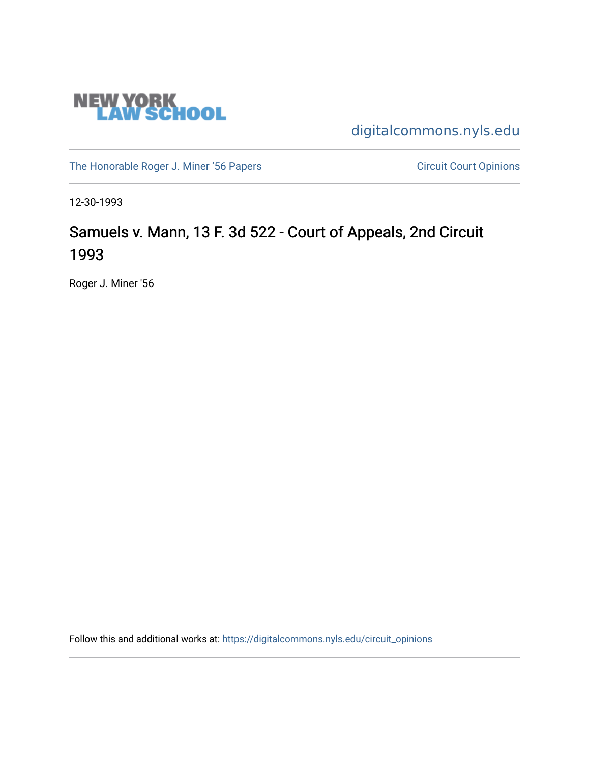

[digitalcommons.nyls.edu](https://digitalcommons.nyls.edu/) 

[The Honorable Roger J. Miner '56 Papers](https://digitalcommons.nyls.edu/miner_papers) Circuit Court Opinions

12-30-1993

# Samuels v. Mann, 13 F. 3d 522 - Court of Appeals, 2nd Circuit 1993

Roger J. Miner '56

Follow this and additional works at: [https://digitalcommons.nyls.edu/circuit\\_opinions](https://digitalcommons.nyls.edu/circuit_opinions?utm_source=digitalcommons.nyls.edu%2Fcircuit_opinions%2F394&utm_medium=PDF&utm_campaign=PDFCoverPages)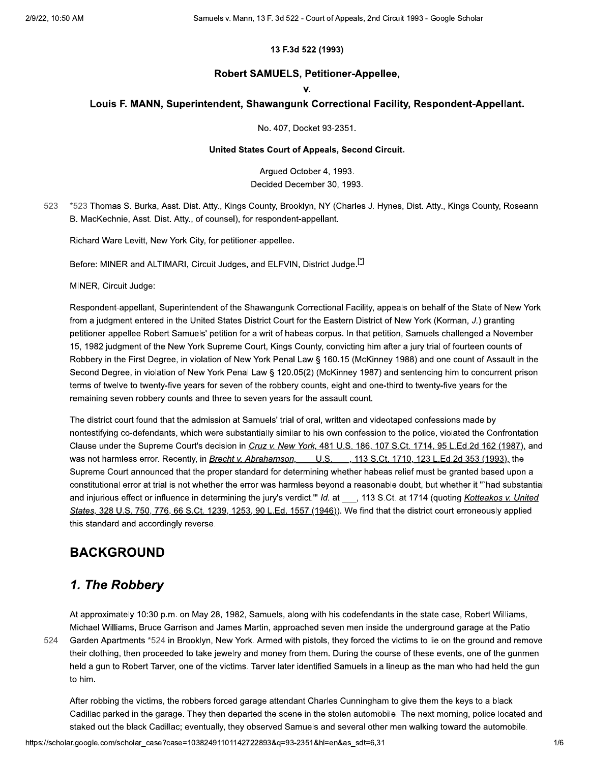#### 13 F.3d 522 (1993)

#### **Robert SAMUELS, Petitioner-Appellee,**

#### $\mathbf{V}$

#### Louis F. MANN, Superintendent, Shawangunk Correctional Facility, Respondent-Appellant.

No. 407, Docket 93-2351.

#### United States Court of Appeals, Second Circuit.

Arqued October 4, 1993. Decided December 30, 1993.

523 \*523 Thomas S. Burka, Asst. Dist. Atty., Kings County, Brooklyn, NY (Charles J. Hynes, Dist. Atty., Kings County, Roseann B. MacKechnie, Asst. Dist. Atty., of counsel), for respondent-appellant.

Richard Ware Levitt, New York City, for petitioner-appellee.

Before: MINER and ALTIMARI, Circuit Judges, and ELFVIN, District Judge.<sup>[2]</sup>

MINER, Circuit Judge:

Respondent-appellant, Superintendent of the Shawangunk Correctional Facility, appeals on behalf of the State of New York from a judgment entered in the United States District Court for the Eastern District of New York (Korman, J.) granting petitioner-appellee Robert Samuels' petition for a writ of habeas corpus. In that petition, Samuels challenged a November 15, 1982 judgment of the New York Supreme Court, Kings County, convicting him after a jury trial of fourteen counts of Robbery in the First Degree, in violation of New York Penal Law § 160.15 (McKinney 1988) and one count of Assault in the Second Degree, in violation of New York Penal Law § 120.05(2) (McKinney 1987) and sentencing him to concurrent prison terms of twelve to twenty-five years for seven of the robbery counts, eight and one-third to twenty-five years for the remaining seven robbery counts and three to seven years for the assault count.

The district court found that the admission at Samuels' trial of oral, written and videotaped confessions made by nontestifying co-defendants, which were substantially similar to his own confession to the police, violated the Confrontation Clause under the Supreme Court's decision in Cruz v. New York, 481 U.S. 186, 107 S.Ct. 1714, 95 L.Ed.2d 162 (1987), and was not harmless error. Recently, in Brecht v. Abrahamson, U.S., 113 S.Ct. 1710, 123 L.Ed.2d 353 (1993), the Supreme Court announced that the proper standard for determining whether habeas relief must be granted based upon a constitutional error at trial is not whether the error was harmless beyond a reasonable doubt, but whether it "`had substantial and injurious effect or influence in determining the jury's verdict." Id. at \_, 113 S.Ct. at 1714 (quoting Kotteakos v. United States, 328 U.S. 750, 776, 66 S.Ct. 1239, 1253, 90 L.Ed. 1557 (1946)). We find that the district court erroneously applied this standard and accordingly reverse.

### **BACKGROUND**

### 1. The Robbery

524

At approximately 10:30 p.m. on May 28, 1982, Samuels, along with his codefendants in the state case, Robert Williams, Michael Williams, Bruce Garrison and James Martin, approached seven men inside the underground garage at the Patio Garden Apartments \*524 in Brooklyn, New York. Armed with pistols, they forced the victims to lie on the ground and remove their clothing, then proceeded to take jewelry and money from them. During the course of these events, one of the gunmen held a gun to Robert Tarver, one of the victims. Tarver later identified Samuels in a lineup as the man who had held the gun to him.

After robbing the victims, the robbers forced garage attendant Charles Cunningham to give them the keys to a black Cadillac parked in the garage. They then departed the scene in the stolen automobile. The next morning, police located and staked out the black Cadillac; eventually, they observed Samuels and several other men walking toward the automobile.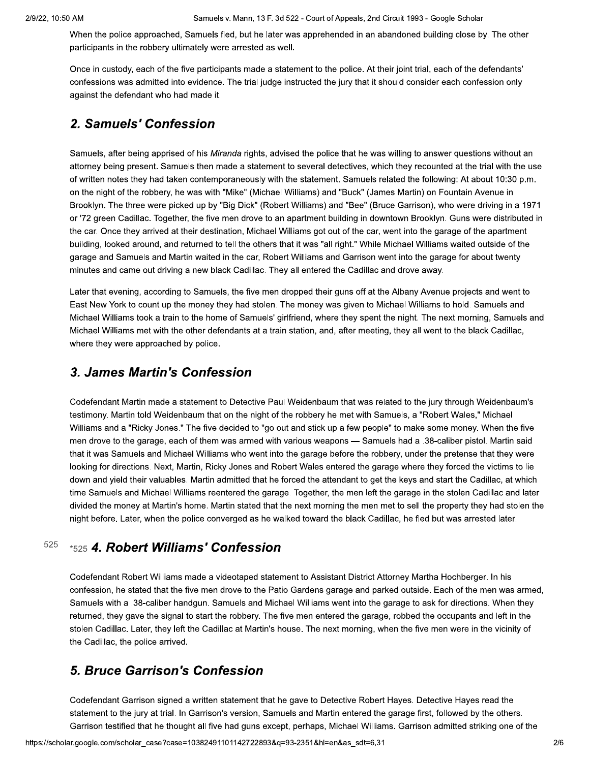When the police approached, Samuels fled, but he later was apprehended in an abandoned building close by. The other participants in the robbery ultimately were arrested as well.

Once in custody, each of the five participants made a statement to the police. At their joint trial, each of the defendants' confessions was admitted into evidence. The trial judge instructed the jury that it should consider each confession only against the defendant who had made it.

### 2. Samuels' Confession

Samuels, after being apprised of his Miranda rights, advised the police that he was willing to answer questions without an attorney being present. Samuels then made a statement to several detectives, which they recounted at the trial with the use of written notes they had taken contemporaneously with the statement. Samuels related the following: At about 10:30 p.m. on the night of the robbery, he was with "Mike" (Michael Williams) and "Buck" (James Martin) on Fountain Avenue in Brooklyn. The three were picked up by "Big Dick" (Robert Williams) and "Bee" (Bruce Garrison), who were driving in a 1971 or '72 green Cadillac. Together, the five men drove to an apartment building in downtown Brooklyn. Guns were distributed in the car. Once they arrived at their destination, Michael Williams got out of the car, went into the garage of the apartment building, looked around, and returned to tell the others that it was "all right." While Michael Williams waited outside of the garage and Samuels and Martin waited in the car, Robert Williams and Garrison went into the garage for about twenty minutes and came out driving a new black Cadillac. They all entered the Cadillac and drove away.

Later that evening, according to Samuels, the five men dropped their guns off at the Albany Avenue projects and went to East New York to count up the money they had stolen. The money was given to Michael Williams to hold. Samuels and Michael Williams took a train to the home of Samuels' girlfriend, where they spent the night. The next morning, Samuels and Michael Williams met with the other defendants at a train station, and, after meeting, they all went to the black Cadillac, where they were approached by police.

### 3. James Martin's Confession

Codefendant Martin made a statement to Detective Paul Weidenbaum that was related to the jury through Weidenbaum's testimony. Martin told Weidenbaum that on the night of the robbery he met with Samuels, a "Robert Wales," Michael Williams and a "Ricky Jones." The five decided to "go out and stick up a few people" to make some money. When the five men drove to the garage, each of them was armed with various weapons - Samuels had a .38-caliber pistol. Martin said that it was Samuels and Michael Williams who went into the garage before the robbery, under the pretense that they were looking for directions. Next, Martin, Ricky Jones and Robert Wales entered the garage where they forced the victims to lie down and yield their valuables. Martin admitted that he forced the attendant to get the keys and start the Cadillac, at which time Samuels and Michael Williams reentered the garage. Together, the men left the garage in the stolen Cadillac and later divided the money at Martin's home. Martin stated that the next morning the men met to sell the property they had stolen the night before. Later, when the police converged as he walked toward the black Cadillac, he fled but was arrested later.

#### 525 \*525 4. Robert Williams' Confession

Codefendant Robert Williams made a videotaped statement to Assistant District Attorney Martha Hochberger. In his confession, he stated that the five men drove to the Patio Gardens garage and parked outside. Each of the men was armed, Samuels with a .38-caliber handgun. Samuels and Michael Williams went into the garage to ask for directions. When they returned, they gave the signal to start the robbery. The five men entered the garage, robbed the occupants and left in the stolen Cadillac. Later, they left the Cadillac at Martin's house. The next morning, when the five men were in the vicinity of the Cadillac, the police arrived.

### **5. Bruce Garrison's Confession**

Codefendant Garrison signed a written statement that he gave to Detective Robert Hayes. Detective Hayes read the statement to the jury at trial. In Garrison's version, Samuels and Martin entered the garage first, followed by the others. Garrison testified that he thought all five had guns except, perhaps, Michael Williams. Garrison admitted striking one of the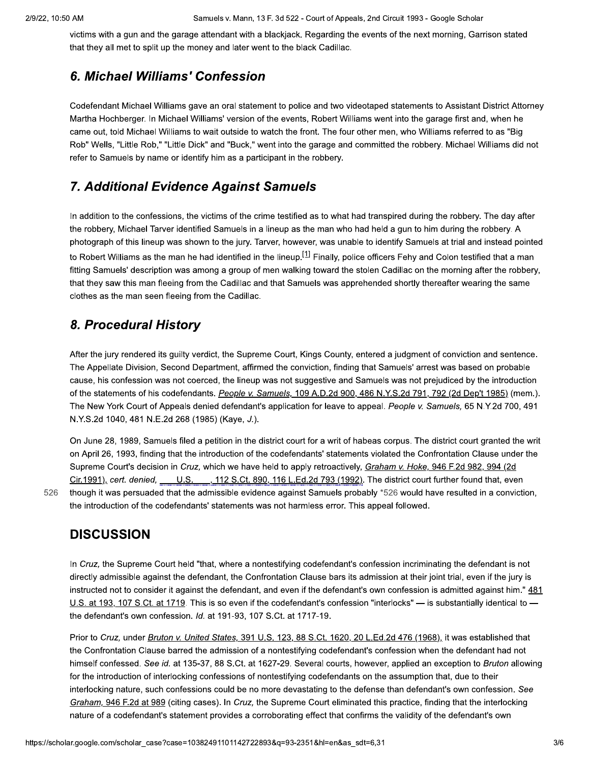victims with a gun and the garage attendant with a blackjack. Regarding the events of the next morning, Garrison stated that they all met to split up the money and later went to the black Cadillac.

### 6. Michael Williams' Confession

Codefendant Michael Williams gave an oral statement to police and two videotaped statements to Assistant District Attorney Martha Hochberger. In Michael Williams' version of the events, Robert Williams went into the garage first and, when he came out, told Michael Williams to wait outside to watch the front. The four other men, who Williams referred to as "Big Rob" Wells, "Little Rob," "Little Dick" and "Buck," went into the garage and committed the robbery. Michael Williams did not refer to Samuels by name or identify him as a participant in the robbery.

### **7. Additional Evidence Against Samuels**

In addition to the confessions, the victims of the crime testified as to what had transpired during the robbery. The day after the robbery, Michael Tarver identified Samuels in a lineup as the man who had held a gun to him during the robbery. A photograph of this lineup was shown to the jury. Tarver, however, was unable to identify Samuels at trial and instead pointed to Robert Williams as the man he had identified in the lineup.<sup>[1]</sup> Finally, police officers Fehy and Colon testified that a man fitting Samuels' description was among a group of men walking toward the stolen Cadillac on the morning after the robbery, that they saw this man fleeing from the Cadillac and that Samuels was apprehended shortly thereafter wearing the same clothes as the man seen fleeing from the Cadillac.

### 8. Procedural History

After the jury rendered its guilty verdict, the Supreme Court, Kings County, entered a judgment of conviction and sentence. The Appellate Division, Second Department, affirmed the conviction, finding that Samuels' arrest was based on probable cause, his confession was not coerced, the lineup was not suggestive and Samuels was not prejudiced by the introduction of the statements of his codefendants. People v. Samuels, 109 A.D.2d 900, 486 N.Y.S.2d 791, 792 (2d Dep't 1985) (mem.). The New York Court of Appeals denied defendant's application for leave to appeal. People v. Samuels, 65 N.Y.2d 700, 491 N.Y.S.2d 1040, 481 N.E.2d 268 (1985) (Kaye, J.).

On June 28, 1989, Samuels filed a petition in the district court for a writ of habeas corpus. The district court granted the writ on April 26, 1993, finding that the introduction of the codefendants' statements violated the Confrontation Clause under the Supreme Court's decision in Cruz, which we have held to apply retroactively, Graham v. Hoke, 946 F.2d 982, 994 (2d Cir.1991), cert. denied, U.S., 112 S.Ct. 890, 116 L.Ed.2d 793 (1992). The district court further found that, even though it was persuaded that the admissible evidence against Samuels probably \*526 would have resulted in a conviction, the introduction of the codefendants' statements was not harmless error. This appeal followed.

### **DISCUSSION**

526

In Cruz, the Supreme Court held "that, where a nontestifying codefendant's confession incriminating the defendant is not directly admissible against the defendant, the Confrontation Clause bars its admission at their joint trial, even if the jury is instructed not to consider it against the defendant, and even if the defendant's own confession is admitted against him." 481 U.S. at 193, 107 S.Ct. at 1719. This is so even if the codefendant's confession "interlocks" — is substantially identical to the defendant's own confession. Id. at 191-93, 107 S.Ct. at 1717-19.

Prior to Cruz, under Bruton v. United States, 391 U.S. 123, 88 S.Ct. 1620, 20 L.Ed.2d 476 (1968), it was established that the Confrontation Clause barred the admission of a nontestifying codefendant's confession when the defendant had not himself confessed. See id. at 135-37, 88 S.Ct. at 1627-29. Several courts, however, applied an exception to Bruton allowing for the introduction of interlocking confessions of nontestifying codefendants on the assumption that, due to their interlocking nature, such confessions could be no more devastating to the defense than defendant's own confession. See Graham, 946 F.2d at 989 (citing cases). In Cruz, the Supreme Court eliminated this practice, finding that the interlocking nature of a codefendant's statement provides a corroborating effect that confirms the validity of the defendant's own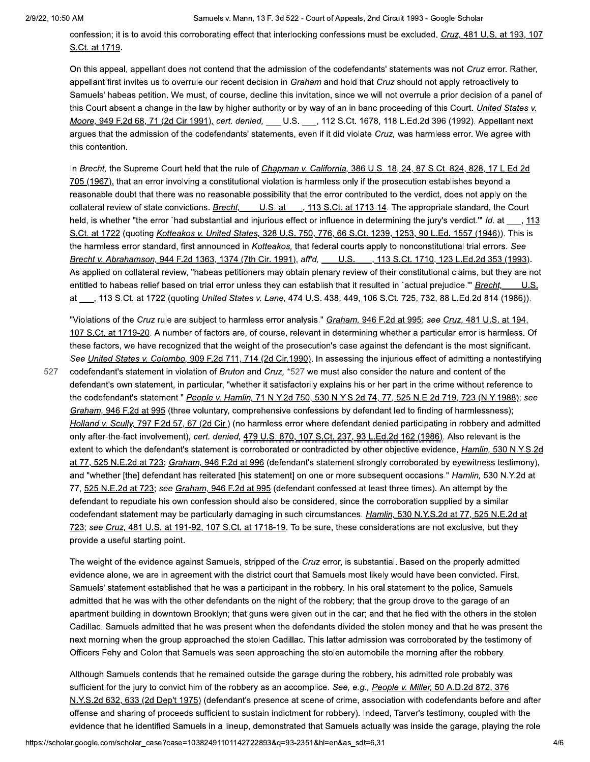527

confession; it is to avoid this corroborating effect that interlocking confessions must be excluded. Cruz, 481 U.S. at 193, 107 S.Ct. at 1719.

On this appeal, appellant does not contend that the admission of the codefendants' statements was not Cruz error. Rather, appellant first invites us to overrule our recent decision in Graham and hold that Cruz should not apply retroactively to Samuels' habeas petition. We must, of course, decline this invitation, since we will not overrule a prior decision of a panel of this Court absent a change in the law by higher authority or by way of an in banc proceeding of this Court. United States v. Moore, 949 F.2d 68, 71 (2d Cir.1991), cert. denied, \_\_ U.S. \_\_, 112 S.Ct. 1678, 118 L.Ed.2d 396 (1992). Appellant next arques that the admission of the codefendants' statements, even if it did violate Cruz, was harmless error. We agree with this contention.

In Brecht, the Supreme Court held that the rule of Chapman v. California, 386 U.S. 18, 24, 87 S.Ct. 824, 828, 17 L.Ed.2d 705 (1967), that an error involving a constitutional violation is harmless only if the prosecution establishes beyond a reasonable doubt that there was no reasonable possibility that the error contributed to the verdict, does not apply on the collateral review of state convictions. Brecht, U.S. at , 113 S.Ct. at 1713-14. The appropriate standard, the Court held, is whether "the error `had substantial and injurious effect or influence in determining the jury's verdict." Id. at , 113 S.Ct. at 1722 (quoting Kotteakos v. United States, 328 U.S. 750, 776, 66 S.Ct. 1239, 1253, 90 L.Ed. 1557 (1946)). This is the harmless error standard, first announced in Kotteakos, that federal courts apply to nonconstitutional trial errors. See Brecht v. Abrahamson, 944 F.2d 1363, 1374 (7th Cir. 1991), aff'd, U.S., 113 S.Ct. 1710, 123 L.Ed.2d 353 (1993). As applied on collateral review, "habeas petitioners may obtain plenary review of their constitutional claims, but they are not entitled to habeas relief based on trial error unless they can establish that it resulted in `actual prejudice." Brecht,  $U.S.$ at, 113 S.Ct. at 1722 (quoting United States v. Lane, 474 U.S. 438, 449, 106 S.Ct. 725, 732, 88 L.Ed.2d 814 (1986)).

"Violations of the Cruz rule are subject to harmless error analysis." Graham, 946 F.2d at 995; see Cruz, 481 U.S. at 194, 107 S.Ct. at 1719-20. A number of factors are, of course, relevant in determining whether a particular error is harmless. Of these factors, we have recognized that the weight of the prosecution's case against the defendant is the most significant. See United States v. Colombo, 909 F.2d 711, 714 (2d Cir.1990). In assessing the injurious effect of admitting a nontestifying codefendant's statement in violation of Bruton and Cruz, \*527 we must also consider the nature and content of the defendant's own statement, in particular, "whether it satisfactorily explains his or her part in the crime without reference to the codefendant's statement." People v. Hamlin, 71 N.Y.2d 750, 530 N.Y.S.2d 74, 77, 525 N.E.2d 719, 723 (N.Y.1988); see Graham, 946 F.2d at 995 (three voluntary, comprehensive confessions by defendant led to finding of harmlessness); Holland v. Scully, 797 F.2d 57, 67 (2d Cir.) (no harmless error where defendant denied participating in robbery and admitted only after-the-fact involvement), cert. denied, 479 U.S. 870, 107 S.Ct. 237, 93 L.Ed.2d 162 (1986). Also relevant is the extent to which the defendant's statement is corroborated or contradicted by other objective evidence, Hamlin, 530 N.Y.S.2d at 77, 525 N.E.2d at 723; Graham, 946 F.2d at 996 (defendant's statement strongly corroborated by eyewitness testimony), and "whether [the] defendant has reiterated [his statement] on one or more subsequent occasions." Hamlin, 530 N.Y.2d at 77, 525 N.E.2d at 723; see Graham, 946 F.2d at 995 (defendant confessed at least three times). An attempt by the defendant to repudiate his own confession should also be considered, since the corroboration supplied by a similar codefendant statement may be particularly damaging in such circumstances. Hamlin, 530 N.Y.S.2d at 77, 525 N.E.2d at 723; see Cruz, 481 U.S. at 191-92, 107 S.Ct. at 1718-19. To be sure, these considerations are not exclusive, but they provide a useful starting point.

The weight of the evidence against Samuels, stripped of the Cruz error, is substantial. Based on the properly admitted evidence alone, we are in agreement with the district court that Samuels most likely would have been convicted. First, Samuels' statement established that he was a participant in the robbery. In his oral statement to the police, Samuels admitted that he was with the other defendants on the night of the robbery; that the group drove to the garage of an apartment building in downtown Brooklyn; that guns were given out in the car; and that he fled with the others in the stolen Cadillac. Samuels admitted that he was present when the defendants divided the stolen money and that he was present the next morning when the group approached the stolen Cadillac. This latter admission was corroborated by the testimony of Officers Fehy and Colon that Samuels was seen approaching the stolen automobile the morning after the robbery.

Although Samuels contends that he remained outside the garage during the robbery, his admitted role probably was sufficient for the jury to convict him of the robbery as an accomplice. See, e.g., People v. Miller, 50 A.D.2d 872, 376 N.Y.S.2d 632, 633 (2d Dep't 1975) (defendant's presence at scene of crime, association with codefendants before and after offense and sharing of proceeds sufficient to sustain indictment for robbery). Indeed, Tarver's testimony, coupled with the evidence that he identified Samuels in a lineup, demonstrated that Samuels actually was inside the garage, playing the role